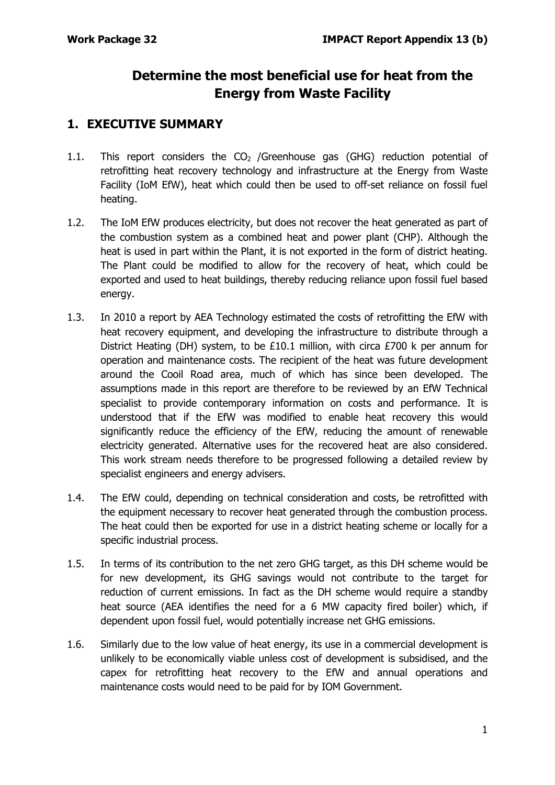## **Determine the most beneficial use for heat from the Energy from Waste Facility**

#### **1. EXECUTIVE SUMMARY**

- 1.1. This report considers the  $CO<sub>2</sub>$  /Greenhouse gas (GHG) reduction potential of retrofitting heat recovery technology and infrastructure at the Energy from Waste Facility (IoM EfW), heat which could then be used to off-set reliance on fossil fuel heating.
- 1.2. The IoM EfW produces electricity, but does not recover the heat generated as part of the combustion system as a combined heat and power plant (CHP). Although the heat is used in part within the Plant, it is not exported in the form of district heating. The Plant could be modified to allow for the recovery of heat, which could be exported and used to heat buildings, thereby reducing reliance upon fossil fuel based energy.
- 1.3. In 2010 a report by AEA Technology estimated the costs of retrofitting the EfW with heat recovery equipment, and developing the infrastructure to distribute through a District Heating (DH) system, to be £10.1 million, with circa £700 k per annum for operation and maintenance costs. The recipient of the heat was future development around the Cooil Road area, much of which has since been developed. The assumptions made in this report are therefore to be reviewed by an EfW Technical specialist to provide contemporary information on costs and performance. It is understood that if the EfW was modified to enable heat recovery this would significantly reduce the efficiency of the EfW, reducing the amount of renewable electricity generated. Alternative uses for the recovered heat are also considered. This work stream needs therefore to be progressed following a detailed review by specialist engineers and energy advisers.
- 1.4. The EfW could, depending on technical consideration and costs, be retrofitted with the equipment necessary to recover heat generated through the combustion process. The heat could then be exported for use in a district heating scheme or locally for a specific industrial process.
- 1.5. In terms of its contribution to the net zero GHG target, as this DH scheme would be for new development, its GHG savings would not contribute to the target for reduction of current emissions. In fact as the DH scheme would require a standby heat source (AEA identifies the need for a 6 MW capacity fired boiler) which, if dependent upon fossil fuel, would potentially increase net GHG emissions.
- 1.6. Similarly due to the low value of heat energy, its use in a commercial development is unlikely to be economically viable unless cost of development is subsidised, and the capex for retrofitting heat recovery to the EfW and annual operations and maintenance costs would need to be paid for by IOM Government.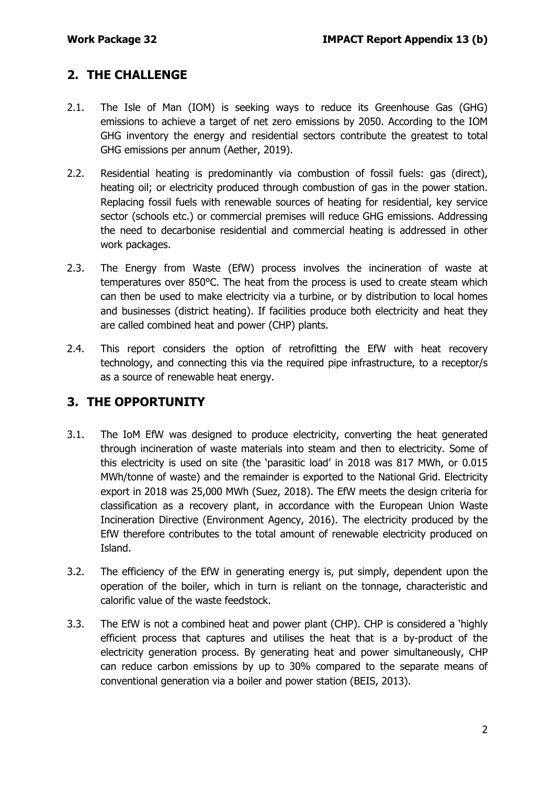#### **2. THE CHALLENGE**

- 2.1. The Isle of Man (IOM) is seeking ways to reduce its Greenhouse Gas (GHG) emissions to achieve a target of net zero emissions by 2050. According to the IOM GHG inventory the energy and residential sectors contribute the greatest to total GHG emissions per annum (Aether, 2019).
- 2.2. Residential heating is predominantly via combustion of fossil fuels: gas (direct), heating oil; or electricity produced through combustion of gas in the power station. Replacing fossil fuels with renewable sources of heating for residential, key service sector (schools etc.) or commercial premises will reduce GHG emissions. Addressing the need to decarbonise residential and commercial heating is addressed in other work packages.
- 2.3. The Energy from Waste (EfW) process involves the incineration of waste at temperatures over 850°C. The heat from the process is used to create steam which can then be used to make electricity via a turbine, or by distribution to local homes and businesses (district heating). If facilities produce both electricity and heat they are called combined heat and power (CHP) plants.
- 2.4. This report considers the option of retrofitting the EfW with heat recovery technology, and connecting this via the required pipe infrastructure, to a receptor/s as a source of renewable heat energy.

#### **3. THE OPPORTUNITY**

- 3.1. The IoM EfW was designed to produce electricity, converting the heat generated through incineration of waste materials into steam and then to electricity. Some of this electricity is used on site (the 'parasitic load' in 2018 was 817 MWh, or 0.015 MWh/tonne of waste) and the remainder is exported to the National Grid. Electricity export in 2018 was 25,000 MWh (Suez, 2018). The EfW meets the design criteria for classification as a recovery plant, in accordance with the European Union Waste Incineration Directive (Environment Agency, 2016). The electricity produced by the EfW therefore contributes to the total amount of renewable electricity produced on Island.
- 3.2. The efficiency of the EfW in generating energy is, put simply, dependent upon the operation of the boiler, which in turn is reliant on the tonnage, characteristic and calorific value of the waste feedstock.
- 3.3. The EfW is not a combined heat and power plant (CHP). CHP is considered a 'highly efficient process that captures and utilises the heat that is a by-product of the electricity generation process. By generating heat and power simultaneously, CHP can reduce carbon emissions by up to 30% compared to the separate means of conventional generation via a boiler and power station (BEIS, 2013).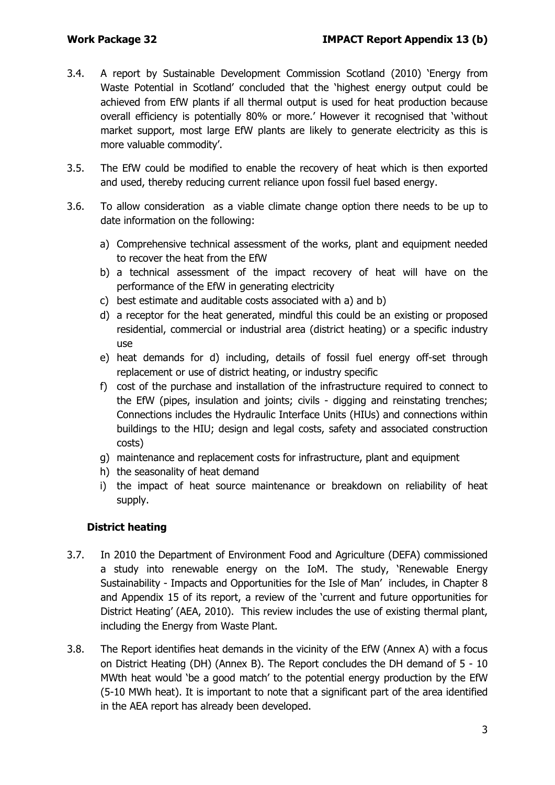- 3.4. A report by Sustainable Development Commission Scotland (2010) 'Energy from Waste Potential in Scotland' concluded that the 'highest energy output could be achieved from EfW plants if all thermal output is used for heat production because overall efficiency is potentially 80% or more.' However it recognised that 'without market support, most large EfW plants are likely to generate electricity as this is more valuable commodity'.
- 3.5. The EfW could be modified to enable the recovery of heat which is then exported and used, thereby reducing current reliance upon fossil fuel based energy.
- 3.6. To allow consideration as a viable climate change option there needs to be up to date information on the following:
	- a) Comprehensive technical assessment of the works, plant and equipment needed to recover the heat from the EfW
	- b) a technical assessment of the impact recovery of heat will have on the performance of the EfW in generating electricity
	- c) best estimate and auditable costs associated with a) and b)
	- d) a receptor for the heat generated, mindful this could be an existing or proposed residential, commercial or industrial area (district heating) or a specific industry use
	- e) heat demands for d) including, details of fossil fuel energy off-set through replacement or use of district heating, or industry specific
	- f) cost of the purchase and installation of the infrastructure required to connect to the EfW (pipes, insulation and joints; civils - digging and reinstating trenches; Connections includes the Hydraulic Interface Units (HIUs) and connections within buildings to the HIU; design and legal costs, safety and associated construction costs)
	- g) maintenance and replacement costs for infrastructure, plant and equipment
	- h) the seasonality of heat demand
	- i) the impact of heat source maintenance or breakdown on reliability of heat supply.

#### **District heating**

- 3.7. In 2010 the Department of Environment Food and Agriculture (DEFA) commissioned a study into renewable energy on the IoM. The study, 'Renewable Energy Sustainability - Impacts and Opportunities for the Isle of Man' includes, in Chapter 8 and Appendix 15 of its report, a review of the 'current and future opportunities for District Heating' (AEA, 2010). This review includes the use of existing thermal plant, including the Energy from Waste Plant.
- 3.8. The Report identifies heat demands in the vicinity of the EfW (Annex A) with a focus on District Heating (DH) (Annex B). The Report concludes the DH demand of 5 - 10 MWth heat would 'be a good match' to the potential energy production by the EfW (5-10 MWh heat). It is important to note that a significant part of the area identified in the AEA report has already been developed.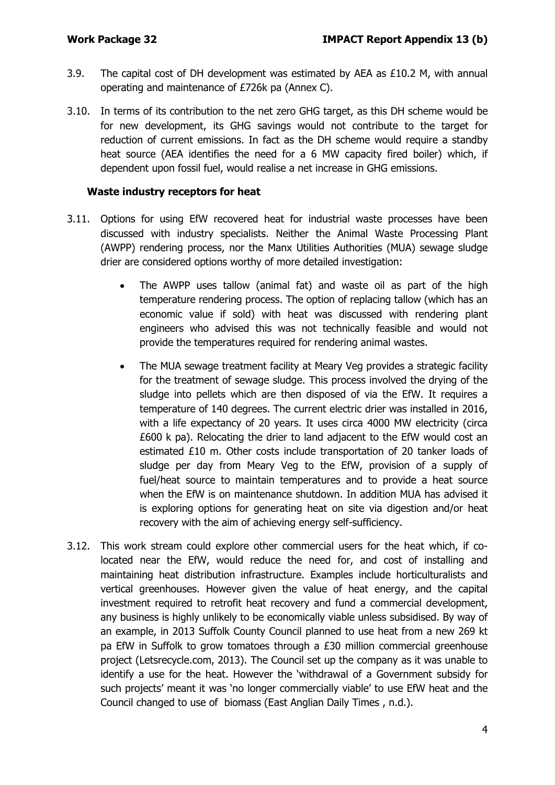- 3.9. The capital cost of DH development was estimated by AEA as £10.2 M, with annual operating and maintenance of £726k pa (Annex C).
- 3.10. In terms of its contribution to the net zero GHG target, as this DH scheme would be for new development, its GHG savings would not contribute to the target for reduction of current emissions. In fact as the DH scheme would require a standby heat source (AEA identifies the need for a 6 MW capacity fired boiler) which, if dependent upon fossil fuel, would realise a net increase in GHG emissions.

#### **Waste industry receptors for heat**

- 3.11. Options for using EfW recovered heat for industrial waste processes have been discussed with industry specialists. Neither the Animal Waste Processing Plant (AWPP) rendering process, nor the Manx Utilities Authorities (MUA) sewage sludge drier are considered options worthy of more detailed investigation:
	- The AWPP uses tallow (animal fat) and waste oil as part of the high temperature rendering process. The option of replacing tallow (which has an economic value if sold) with heat was discussed with rendering plant engineers who advised this was not technically feasible and would not provide the temperatures required for rendering animal wastes.
	- The MUA sewage treatment facility at Meary Veg provides a strategic facility for the treatment of sewage sludge. This process involved the drying of the sludge into pellets which are then disposed of via the EfW. It requires a temperature of 140 degrees. The current electric drier was installed in 2016, with a life expectancy of 20 years. It uses circa 4000 MW electricity (circa £600 k pa). Relocating the drier to land adjacent to the EfW would cost an estimated £10 m. Other costs include transportation of 20 tanker loads of sludge per day from Meary Veg to the EfW, provision of a supply of fuel/heat source to maintain temperatures and to provide a heat source when the EfW is on maintenance shutdown. In addition MUA has advised it is exploring options for generating heat on site via digestion and/or heat recovery with the aim of achieving energy self-sufficiency.
- 3.12. This work stream could explore other commercial users for the heat which, if colocated near the EfW, would reduce the need for, and cost of installing and maintaining heat distribution infrastructure. Examples include horticulturalists and vertical greenhouses. However given the value of heat energy, and the capital investment required to retrofit heat recovery and fund a commercial development, any business is highly unlikely to be economically viable unless subsidised. By way of an example, in 2013 Suffolk County Council planned to use heat from a new 269 kt pa EfW in Suffolk to grow tomatoes through a £30 million commercial greenhouse project (Letsrecycle.com, 2013). The Council set up the company as it was unable to identify a use for the heat. However the 'withdrawal of a Government subsidy for such projects' meant it was 'no longer commercially viable' to use EfW heat and the Council changed to use of biomass (East Anglian Daily Times , n.d.).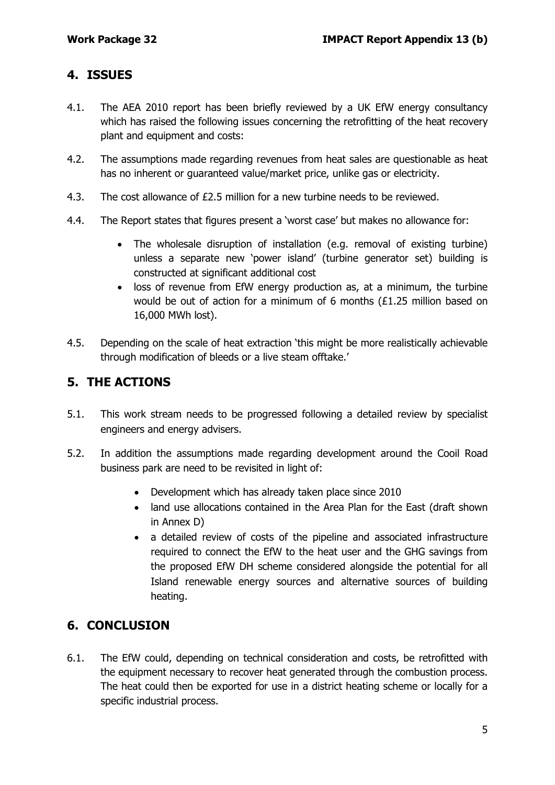#### **4. ISSUES**

- 4.1. The AEA 2010 report has been briefly reviewed by a UK EfW energy consultancy which has raised the following issues concerning the retrofitting of the heat recovery plant and equipment and costs:
- 4.2. The assumptions made regarding revenues from heat sales are questionable as heat has no inherent or guaranteed value/market price, unlike gas or electricity.
- 4.3. The cost allowance of £2.5 million for a new turbine needs to be reviewed.
- 4.4. The Report states that figures present a 'worst case' but makes no allowance for:
	- The wholesale disruption of installation (e.g. removal of existing turbine) unless a separate new 'power island' (turbine generator set) building is constructed at significant additional cost
	- loss of revenue from EfW energy production as, at a minimum, the turbine would be out of action for a minimum of 6 months (£1.25 million based on 16,000 MWh lost).
- 4.5. Depending on the scale of heat extraction 'this might be more realistically achievable through modification of bleeds or a live steam offtake.'

### **5. THE ACTIONS**

- 5.1. This work stream needs to be progressed following a detailed review by specialist engineers and energy advisers.
- 5.2. In addition the assumptions made regarding development around the Cooil Road business park are need to be revisited in light of:
	- Development which has already taken place since 2010
	- land use allocations contained in the Area Plan for the East (draft shown in Annex D)
	- a detailed review of costs of the pipeline and associated infrastructure required to connect the EfW to the heat user and the GHG savings from the proposed EfW DH scheme considered alongside the potential for all Island renewable energy sources and alternative sources of building heating.

### **6. CONCLUSION**

6.1. The EfW could, depending on technical consideration and costs, be retrofitted with the equipment necessary to recover heat generated through the combustion process. The heat could then be exported for use in a district heating scheme or locally for a specific industrial process.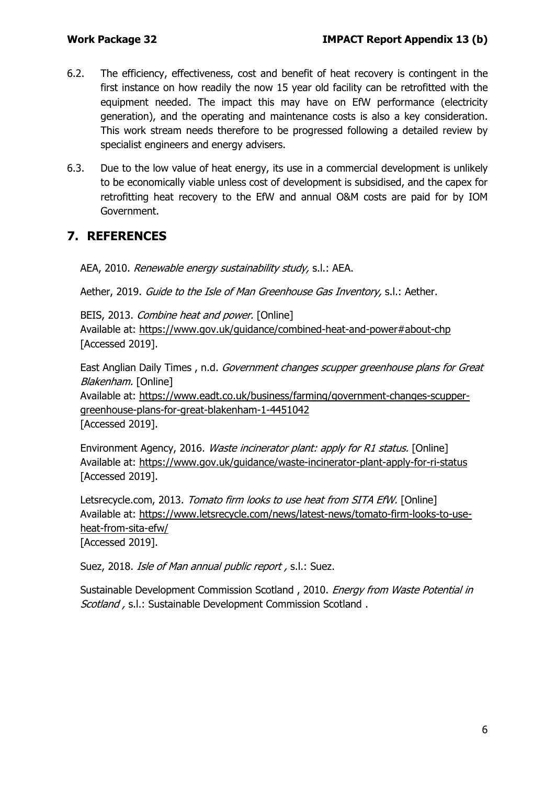- 6.2. The efficiency, effectiveness, cost and benefit of heat recovery is contingent in the first instance on how readily the now 15 year old facility can be retrofitted with the equipment needed. The impact this may have on EfW performance (electricity generation), and the operating and maintenance costs is also a key consideration. This work stream needs therefore to be progressed following a detailed review by specialist engineers and energy advisers.
- 6.3. Due to the low value of heat energy, its use in a commercial development is unlikely to be economically viable unless cost of development is subsidised, and the capex for retrofitting heat recovery to the EfW and annual O&M costs are paid for by IOM Government.

#### **7. REFERENCES**

AEA, 2010. Renewable energy sustainability study, s.l.: AEA.

Aether, 2019. Guide to the Isle of Man Greenhouse Gas Inventory, s.l.: Aether.

BEIS, 2013. Combine heat and power. [Online] Available at: https://www.gov.uk/guidance/combined-heat-and-power#about-chp [Accessed 2019].

East Anglian Daily Times , n.d. Government changes scupper greenhouse plans for Great Blakenham. [Online]

Available at: https://www.eadt.co.uk/business/farming/government-changes-scuppergreenhouse-plans-for-great-blakenham-1-4451042 [Accessed 2019].

Environment Agency, 2016. Waste incinerator plant: apply for R1 status. [Online] Available at: https://www.gov.uk/guidance/waste-incinerator-plant-apply-for-ri-status [Accessed 2019].

Letsrecycle.com, 2013. Tomato firm looks to use heat from SITA EfW. [Online] Available at: https://www.letsrecycle.com/news/latest-news/tomato-firm-looks-to-useheat-from-sita-efw/

[Accessed 2019].

Suez, 2018. *Isle of Man annual public report*, s.l.: Suez.

Sustainable Development Commission Scotland, 2010. Energy from Waste Potential in Scotland, s.l.: Sustainable Development Commission Scotland.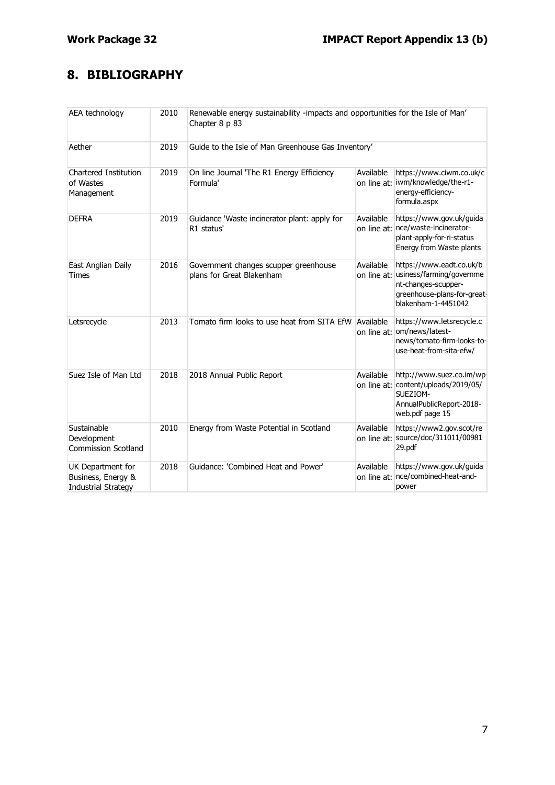## **8. BIBLIOGRAPHY**

| AEA technology                                                        | 2010 | Renewable energy sustainability -impacts and opportunities for the Isle of Man'<br>Chapter 8 p 83 |                          |                                                                                                                                   |
|-----------------------------------------------------------------------|------|---------------------------------------------------------------------------------------------------|--------------------------|-----------------------------------------------------------------------------------------------------------------------------------|
| Aether                                                                | 2019 | Guide to the Isle of Man Greenhouse Gas Inventory'                                                |                          |                                                                                                                                   |
| Chartered Institution<br>of Wastes<br>Management                      | 2019 | On line Journal 'The R1 Energy Efficiency<br>Formula'                                             | Available                | https://www.ciwm.co.uk/c<br>on line at: iwm/knowledge/the-r1-<br>energy-efficiency-<br>formula.aspx                               |
| <b>DEFRA</b>                                                          | 2019 | Guidance 'Waste incinerator plant: apply for<br>R1 status'                                        | Available<br>on line at: | https://www.gov.uk/guida<br>nce/waste-incinerator-<br>plant-apply-for-ri-status<br>Energy from Waste plants                       |
| East Anglian Daily<br>Times                                           | 2016 | Government changes scupper greenhouse<br>plans for Great Blakenham                                | Available<br>on line at: | https://www.eadt.co.uk/b<br>usiness/farming/governme<br>nt-changes-scupper-<br>greenhouse-plans-for-great-<br>blakenham-1-4451042 |
| Letsrecycle                                                           | 2013 | Tomato firm looks to use heat from SITA EfW                                                       | Available<br>on line at: | https://www.letsrecycle.c<br>om/news/latest-<br>news/tomato-firm-looks-to-<br>use-heat-from-sita-efw/                             |
| Suez Isle of Man Ltd                                                  | 2018 | 2018 Annual Public Report                                                                         | Available                | http://www.suez.co.im/wp-<br>on line at: content/uploads/2019/05/<br>SUEZIOM-<br>AnnualPublicReport-2018-<br>web.pdf page 15      |
| Sustainable<br>Development<br><b>Commission Scotland</b>              | 2010 | Energy from Waste Potential in Scotland                                                           | Available                | https://www2.gov.scot/re<br>on line at: source/doc/311011/00981<br>29.pdf                                                         |
| UK Department for<br>Business, Energy &<br><b>Industrial Strategy</b> | 2018 | Guidance: 'Combined Heat and Power'                                                               | Available                | https://www.gov.uk/guida<br>on line at: nce/combined-heat-and-<br>power                                                           |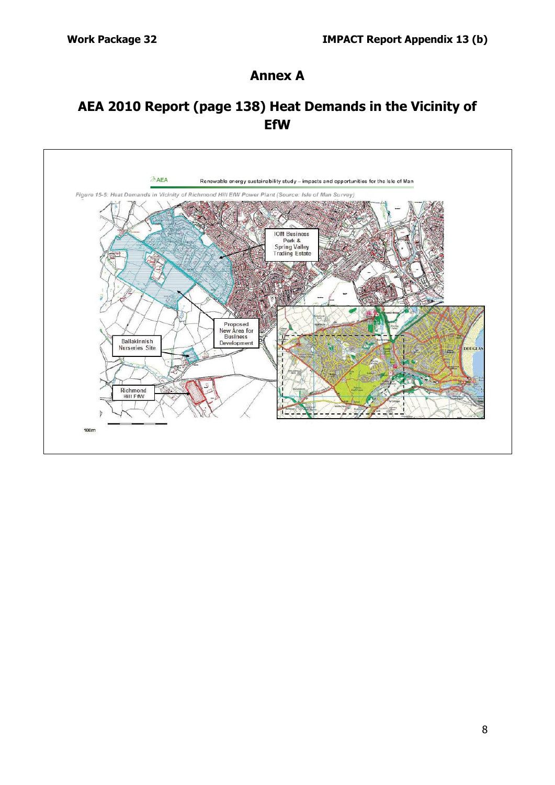#### **Annex A**

## **AEA 2010 Report (page 138) Heat Demands in the Vicinity of EfW**

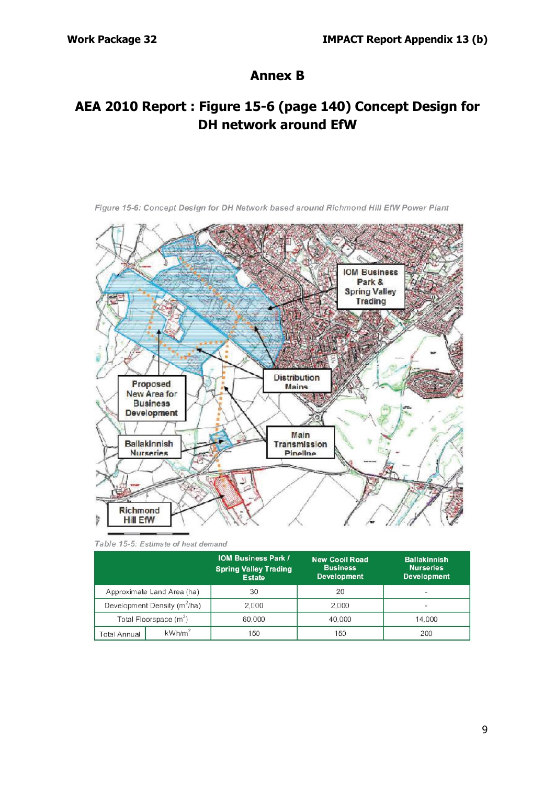## **Annex B**

## **AEA 2010 Report : Figure 15-6 (page 140) Concept Design for DH network around EfW**



Figure 15-6: Concept Design for DH Network based around Richmond Hill EfW Power Plant

Table 15-5: Estimate of heat demand

|                            |                                          | <b>IOM Business Park /</b><br><b>Spring Valley Trading</b><br><b>Estate</b> | <b>New Cooll Road</b><br><b>Business</b><br><b>Development</b> | <b>Ballakinnish</b><br><b>Nurseries</b><br><b>Development</b> |  |
|----------------------------|------------------------------------------|-----------------------------------------------------------------------------|----------------------------------------------------------------|---------------------------------------------------------------|--|
| Approximate Land Area (ha) |                                          | 30                                                                          | 20                                                             |                                                               |  |
|                            | Development Density (m <sup>2</sup> /ha) | 2.000                                                                       | 2.000                                                          | -                                                             |  |
| Total Floorspace $(m2)$    |                                          | 60,000                                                                      | 40.000                                                         | 14,000                                                        |  |
| Total Annual               | kWh/m <sup>2</sup>                       | 150                                                                         | 150                                                            | 200                                                           |  |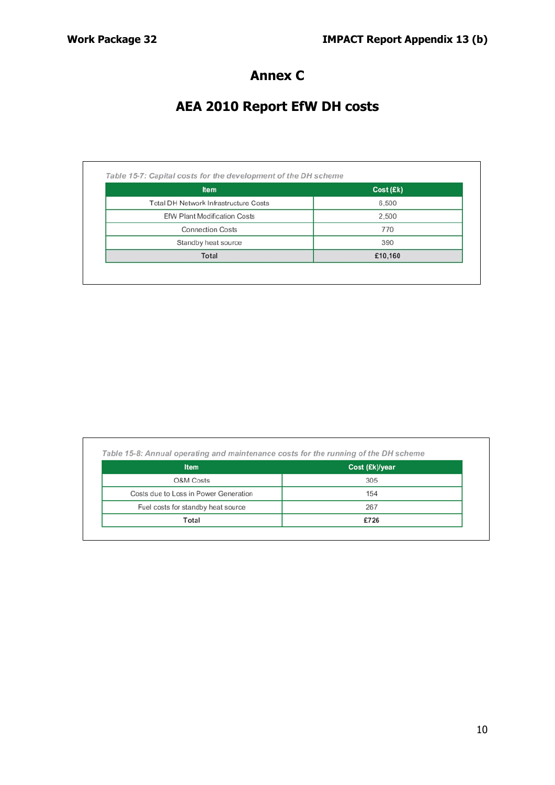## **Annex C**

# **AEA 2010 Report EfW DH costs**

| <b>Item</b>                                  | Cost (Ek) |  |
|----------------------------------------------|-----------|--|
| <b>Total DH Network Infrastructure Costs</b> | 6,500     |  |
| <b>EfW Plant Modification Costs</b>          | 2,500     |  |
| <b>Connection Costs</b>                      | 770       |  |
| Standby heat source                          | 390       |  |
| Total                                        | £10,160   |  |

| <b>Item</b>                           | Cost (£k)/year |  |
|---------------------------------------|----------------|--|
| O&M Costs                             | 305            |  |
| Costs due to Loss in Power Generation | 154            |  |
| Fuel costs for standby heat source    | 267            |  |
| Total                                 | £726           |  |